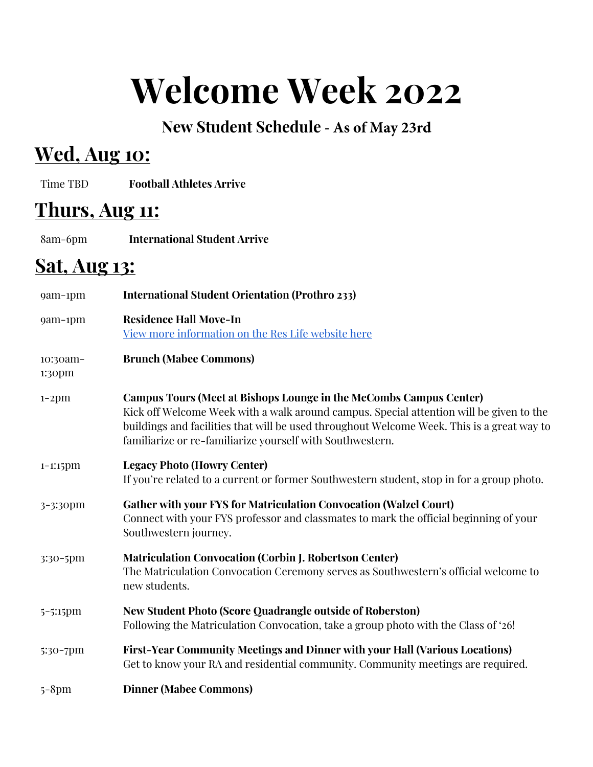# **Welcome Week 2022**

#### **New Student Schedule - As of May 23rd**

# **Wed, Aug 10:**

Time TBD **Football Athletes Arrive**

## **Thurs, Aug 11:**

8am-6pm **International Student Arrive**

# **Sat, Aug 13:**

| 9am-1pm            | <b>International Student Orientation (Prothro 233)</b>                                                                                                                                                                                                                                                                   |
|--------------------|--------------------------------------------------------------------------------------------------------------------------------------------------------------------------------------------------------------------------------------------------------------------------------------------------------------------------|
| 9am-1pm            | <b>Residence Hall Move-In</b><br>View more information on the Res Life website here                                                                                                                                                                                                                                      |
| 10:30am-<br>1:30pm | <b>Brunch (Mabee Commons)</b>                                                                                                                                                                                                                                                                                            |
| $1-2$ pm           | Campus Tours (Meet at Bishops Lounge in the McCombs Campus Center)<br>Kick off Welcome Week with a walk around campus. Special attention will be given to the<br>buildings and facilities that will be used throughout Welcome Week. This is a great way to<br>familiarize or re-familiarize yourself with Southwestern. |
| $1-1:15$ pm        | <b>Legacy Photo (Howry Center)</b><br>If you're related to a current or former Southwestern student, stop in for a group photo.                                                                                                                                                                                          |
| 3-3:30pm           | <b>Gather with your FYS for Matriculation Convocation (Walzel Court)</b><br>Connect with your FYS professor and classmates to mark the official beginning of your<br>Southwestern journey.                                                                                                                               |
| 3:30-5pm           | <b>Matriculation Convocation (Corbin J. Robertson Center)</b><br>The Matriculation Convocation Ceremony serves as Southwestern's official welcome to<br>new students.                                                                                                                                                    |
| 5-5:15pm           | <b>New Student Photo (Score Quadrangle outside of Roberston)</b><br>Following the Matriculation Convocation, take a group photo with the Class of '26!                                                                                                                                                                   |
| 5:30-7pm           | <b>First-Year Community Meetings and Dinner with your Hall (Various Locations)</b><br>Get to know your RA and residential community. Community meetings are required.                                                                                                                                                    |
| $5 - 8pm$          | <b>Dinner (Mabee Commons)</b>                                                                                                                                                                                                                                                                                            |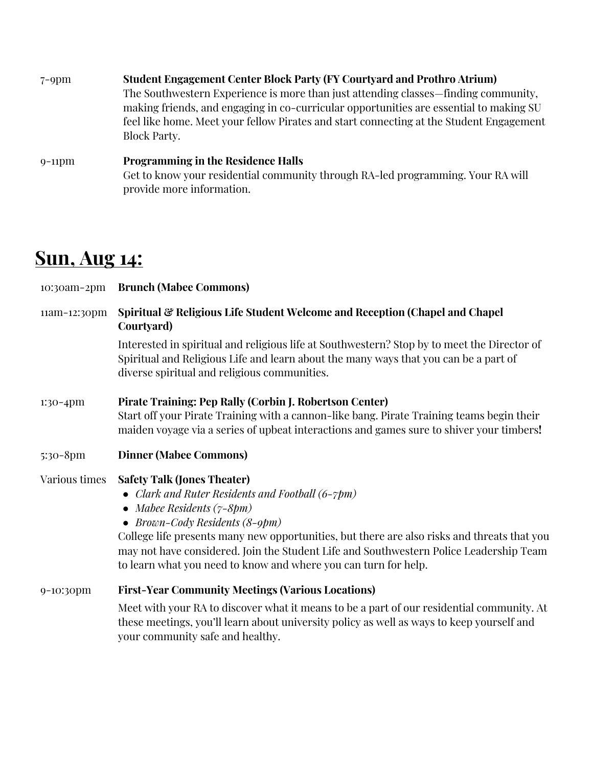| $7-9$ pm  | <b>Student Engagement Center Block Party (FY Courtyard and Prothro Atrium)</b><br>The Southwestern Experience is more than just attending classes—finding community,<br>making friends, and engaging in co-curricular opportunities are essential to making SU<br>feel like home. Meet your fellow Pirates and start connecting at the Student Engagement<br>Block Party. |
|-----------|---------------------------------------------------------------------------------------------------------------------------------------------------------------------------------------------------------------------------------------------------------------------------------------------------------------------------------------------------------------------------|
| $9-11$ pm | <b>Programming in the Residence Halls</b>                                                                                                                                                                                                                                                                                                                                 |

Get to know your residential community through RA-led programming. Your RA will provide more information.

### **Sun, Aug 14:**

| 10:30am-2pm   | <b>Brunch (Mabee Commons)</b>                                                                                                                                                                                                                                                                                                                                                                                       |
|---------------|---------------------------------------------------------------------------------------------------------------------------------------------------------------------------------------------------------------------------------------------------------------------------------------------------------------------------------------------------------------------------------------------------------------------|
| 11am-12:30pm  | Spiritual & Religious Life Student Welcome and Reception (Chapel and Chapel<br>Courtyard)                                                                                                                                                                                                                                                                                                                           |
|               | Interested in spiritual and religious life at Southwestern? Stop by to meet the Director of<br>Spiritual and Religious Life and learn about the many ways that you can be a part of<br>diverse spiritual and religious communities.                                                                                                                                                                                 |
| $1:30-4$ pm   | Pirate Training: Pep Rally (Corbin J. Robertson Center)<br>Start off your Pirate Training with a cannon-like bang. Pirate Training teams begin their<br>maiden voyage via a series of upbeat interactions and games sure to shiver your timbers!                                                                                                                                                                    |
| 5:30-8pm      | <b>Dinner (Mabee Commons)</b>                                                                                                                                                                                                                                                                                                                                                                                       |
| Various times | <b>Safety Talk (Jones Theater)</b><br>• Clark and Ruter Residents and Football (6-7pm)<br>• Mabee Residents $(7-8pm)$<br>• Brown-Cody Residents (8-9pm)<br>College life presents many new opportunities, but there are also risks and threats that you<br>may not have considered. Join the Student Life and Southwestern Police Leadership Team<br>to learn what you need to know and where you can turn for help. |
| 9-10:30pm     | <b>First-Year Community Meetings (Various Locations)</b>                                                                                                                                                                                                                                                                                                                                                            |
|               | Meet with your RA to discover what it means to be a part of our residential community. At<br>these meetings, you'll learn about university policy as well as ways to keep yourself and<br>your community safe and healthy.                                                                                                                                                                                          |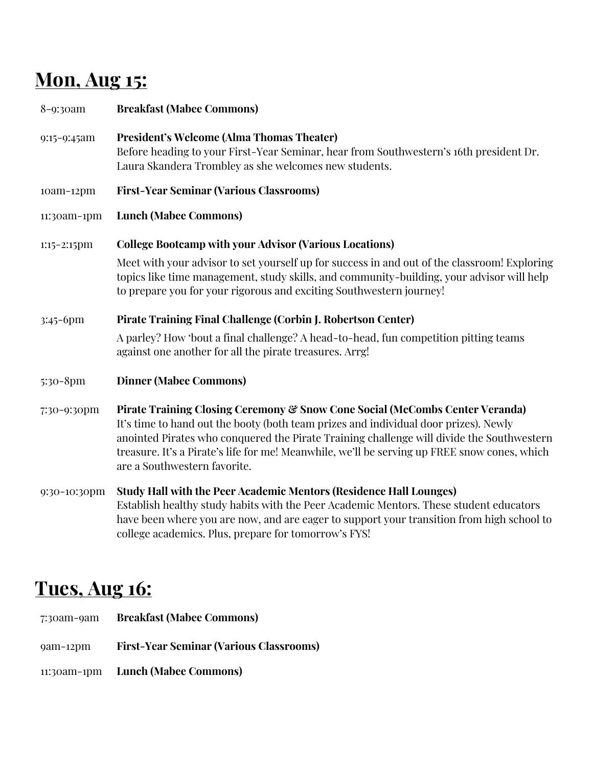# **Mon, Aug 15:**

| 8-9:30am       | <b>Breakfast (Mabee Commons)</b>                                                                                                                                                                                                                                                                                                                                                                  |
|----------------|---------------------------------------------------------------------------------------------------------------------------------------------------------------------------------------------------------------------------------------------------------------------------------------------------------------------------------------------------------------------------------------------------|
| 9:15-9:45am    | <b>President's Welcome (Alma Thomas Theater)</b><br>Before heading to your First-Year Seminar, hear from Southwestern's 16th president Dr.<br>Laura Skandera Trombley as she welcomes new students.                                                                                                                                                                                               |
| 10am-12pm      | <b>First-Year Seminar (Various Classrooms)</b>                                                                                                                                                                                                                                                                                                                                                    |
| 11:30am-1pm    | <b>Lunch (Mabee Commons)</b>                                                                                                                                                                                                                                                                                                                                                                      |
| $1:15-2:15$ pm | <b>College Bootcamp with your Advisor (Various Locations)</b>                                                                                                                                                                                                                                                                                                                                     |
|                | Meet with your advisor to set yourself up for success in and out of the classroom! Exploring<br>topics like time management, study skills, and community-building, your advisor will help<br>to prepare you for your rigorous and exciting Southwestern journey!                                                                                                                                  |
| 3:45-6pm       | Pirate Training Final Challenge (Corbin J. Robertson Center)                                                                                                                                                                                                                                                                                                                                      |
|                | A parley? How 'bout a final challenge? A head-to-head, fun competition pitting teams<br>against one another for all the pirate treasures. Arrg!                                                                                                                                                                                                                                                   |
| 5:30-8pm       | <b>Dinner (Mabee Commons)</b>                                                                                                                                                                                                                                                                                                                                                                     |
| 7:30-9:30pm    | Pirate Training Closing Ceremony & Snow Cone Social (McCombs Center Veranda)<br>It's time to hand out the booty (both team prizes and individual door prizes). Newly<br>anointed Pirates who conquered the Pirate Training challenge will divide the Southwestern<br>treasure. It's a Pirate's life for me! Meanwhile, we'll be serving up FREE snow cones, which<br>are a Southwestern favorite. |
| 9:30-10:30pm   | Study Hall with the Peer Academic Mentors (Residence Hall Lounges)<br>Establish healthy study habits with the Peer Academic Mentors. These student educators<br>have been where you are now, and are eager to support your transition from high school to<br>college academics. Plus, prepare for tomorrow's FYS!                                                                                 |

### **Tues, Aug 16:**

- 7:30am-9am **Breakfast (Mabee Commons)**
- 9am-12pm **First-Year Seminar (Various Classrooms)**
- 11:30am-1pm **Lunch (Mabee Commons)**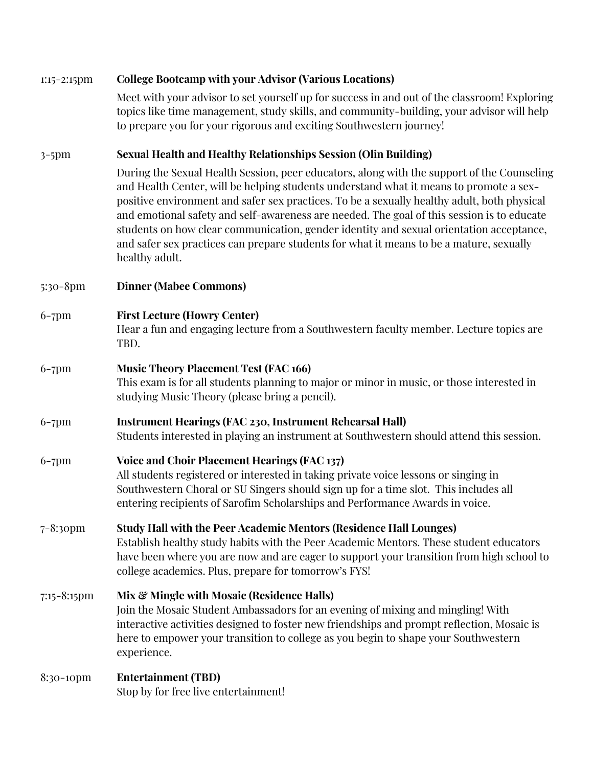| $1:15-2:15$ pm   | <b>College Bootcamp with your Advisor (Various Locations)</b>                                                                                                                                                                                                                                                                                                                                                                                                                                                                                                                             |
|------------------|-------------------------------------------------------------------------------------------------------------------------------------------------------------------------------------------------------------------------------------------------------------------------------------------------------------------------------------------------------------------------------------------------------------------------------------------------------------------------------------------------------------------------------------------------------------------------------------------|
|                  | Meet with your advisor to set yourself up for success in and out of the classroom! Exploring<br>topics like time management, study skills, and community-building, your advisor will help<br>to prepare you for your rigorous and exciting Southwestern journey!                                                                                                                                                                                                                                                                                                                          |
| $3-5$ pm         | <b>Sexual Health and Healthy Relationships Session (Olin Building)</b>                                                                                                                                                                                                                                                                                                                                                                                                                                                                                                                    |
|                  | During the Sexual Health Session, peer educators, along with the support of the Counseling<br>and Health Center, will be helping students understand what it means to promote a sex-<br>positive environment and safer sex practices. To be a sexually healthy adult, both physical<br>and emotional safety and self-awareness are needed. The goal of this session is to educate<br>students on how clear communication, gender identity and sexual orientation acceptance,<br>and safer sex practices can prepare students for what it means to be a mature, sexually<br>healthy adult. |
| $5:30-8$ pm      | <b>Dinner (Mabee Commons)</b>                                                                                                                                                                                                                                                                                                                                                                                                                                                                                                                                                             |
| $6-7$ pm         | <b>First Lecture (Howry Center)</b><br>Hear a fun and engaging lecture from a Southwestern faculty member. Lecture topics are<br>TBD.                                                                                                                                                                                                                                                                                                                                                                                                                                                     |
| $6-7$ pm         | <b>Music Theory Placement Test (FAC 166)</b><br>This exam is for all students planning to major or minor in music, or those interested in<br>studying Music Theory (please bring a pencil).                                                                                                                                                                                                                                                                                                                                                                                               |
| $6-7$ pm         | <b>Instrument Hearings (FAC 230, Instrument Rehearsal Hall)</b><br>Students interested in playing an instrument at Southwestern should attend this session.                                                                                                                                                                                                                                                                                                                                                                                                                               |
| $6-7$ pm         | <b>Voice and Choir Placement Hearings (FAC 137)</b><br>All students registered or interested in taking private voice lessons or singing in<br>Southwestern Choral or SU Singers should sign up for a time slot. This includes all<br>entering recipients of Sarofim Scholarships and Performance Awards in voice.                                                                                                                                                                                                                                                                         |
| $7 - 8:3$ opm    | <b>Study Hall with the Peer Academic Mentors (Residence Hall Lounges)</b><br>Establish healthy study habits with the Peer Academic Mentors. These student educators<br>have been where you are now and are eager to support your transition from high school to<br>college academics. Plus, prepare for tomorrow's FYS!                                                                                                                                                                                                                                                                   |
| $7:15 - 8:15$ pm | Mix & Mingle with Mosaic (Residence Halls)<br>Join the Mosaic Student Ambassadors for an evening of mixing and mingling! With<br>interactive activities designed to foster new friendships and prompt reflection, Mosaic is<br>here to empower your transition to college as you begin to shape your Southwestern<br>experience.                                                                                                                                                                                                                                                          |
| 8:30-10pm        | <b>Entertainment (TBD)</b><br>Stop by for free live entertainment!                                                                                                                                                                                                                                                                                                                                                                                                                                                                                                                        |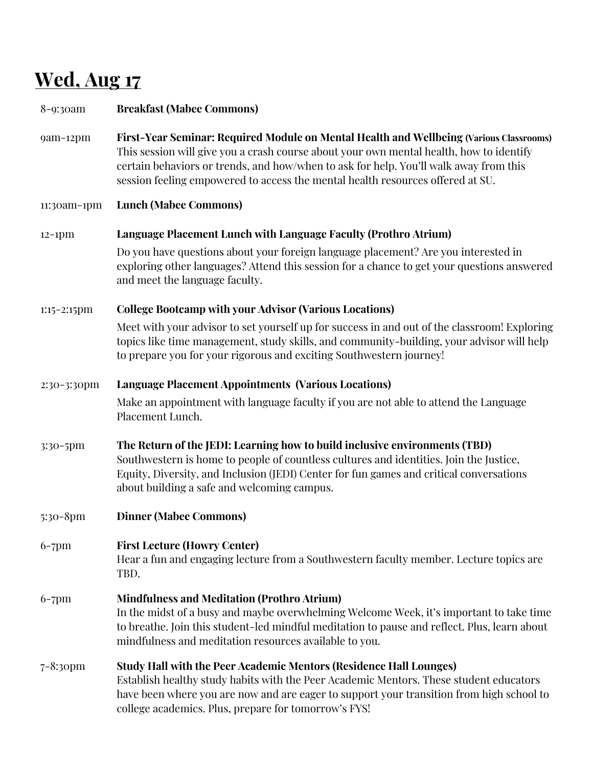# **Wed, Aug 17**

| $8 - 9:3$ oam  | <b>Breakfast (Mabee Commons)</b>                                                                                                                                                                                                                                                                                                                              |
|----------------|---------------------------------------------------------------------------------------------------------------------------------------------------------------------------------------------------------------------------------------------------------------------------------------------------------------------------------------------------------------|
| 9am-12pm       | First-Year Seminar: Required Module on Mental Health and Wellbeing (Various Classrooms)<br>This session will give you a crash course about your own mental health, how to identify<br>certain behaviors or trends, and how/when to ask for help. You'll walk away from this<br>session feeling empowered to access the mental health resources offered at SU. |
| 11:30am-1pm    | <b>Lunch (Mabee Commons)</b>                                                                                                                                                                                                                                                                                                                                  |
| $12-1$ pm      | Language Placement Lunch with Language Faculty (Prothro Atrium)                                                                                                                                                                                                                                                                                               |
|                | Do you have questions about your foreign language placement? Are you interested in<br>exploring other languages? Attend this session for a chance to get your questions answered<br>and meet the language faculty.                                                                                                                                            |
| $1:15-2:15$ pm | <b>College Bootcamp with your Advisor (Various Locations)</b>                                                                                                                                                                                                                                                                                                 |
|                | Meet with your advisor to set yourself up for success in and out of the classroom! Exploring<br>topics like time management, study skills, and community-building, your advisor will help<br>to prepare you for your rigorous and exciting Southwestern journey!                                                                                              |
| 2:30-3:30pm    | <b>Language Placement Appointments (Various Locations)</b>                                                                                                                                                                                                                                                                                                    |
|                | Make an appointment with language faculty if you are not able to attend the Language<br>Placement Lunch.                                                                                                                                                                                                                                                      |
| 3:30-5pm       | The Return of the JEDI: Learning how to build inclusive environments (TBD)<br>Southwestern is home to people of countless cultures and identities. Join the Justice,<br>Equity, Diversity, and Inclusion (JEDI) Center for fun games and critical conversations<br>about building a safe and welcoming campus.                                                |
| $5:30-8$ pm    | <b>Dinner (Mabee Commons)</b>                                                                                                                                                                                                                                                                                                                                 |
| $6-7$ pm       | <b>First Lecture (Howry Center)</b><br>Hear a fun and engaging lecture from a Southwestern faculty member. Lecture topics are<br>TBD.                                                                                                                                                                                                                         |
| $6-7$ pm       | <b>Mindfulness and Meditation (Prothro Atrium)</b><br>In the midst of a busy and maybe overwhelming Welcome Week, it's important to take time<br>to breathe. Join this student-led mindful meditation to pause and reflect. Plus, learn about<br>mindfulness and meditation resources available to you.                                                       |
| $7 - 8:3$ opm  | Study Hall with the Peer Academic Mentors (Residence Hall Lounges)<br>Establish healthy study habits with the Peer Academic Mentors. These student educators<br>have been where you are now and are eager to support your transition from high school to<br>college academics. Plus, prepare for tomorrow's FYS!                                              |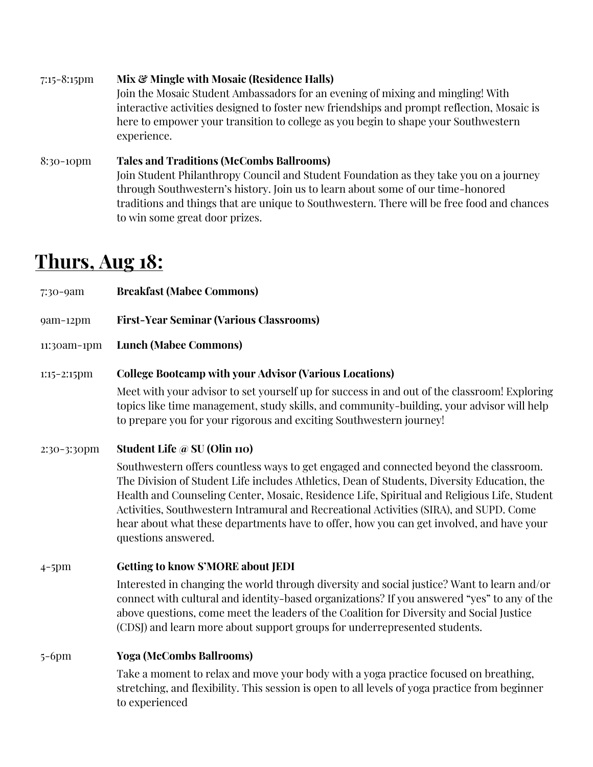7:15-8:15pm **Mix & Mingle with Mosaic (Residence Halls)** Join the Mosaic Student Ambassadors for an evening of mixing and mingling! With interactive activities designed to foster new friendships and prompt reflection, Mosaic is here to empower your transition to college as you begin to shape your Southwestern experience. 8:30-10pm **Tales and Traditions (McCombs Ballrooms)** Join Student Philanthropy Council and Student Foundation as they take you on a journey through Southwestern's history. Join us to learn about some of our time-honored traditions and things that are unique to Southwestern. There will be free food and chances

#### **Thurs, Aug 18:**

to win some great door prizes.

| 7:30-9am       | <b>Breakfast (Mabee Commons)</b>                                                                                                                                                                                                                                                                                                                                                                                                                                                                 |
|----------------|--------------------------------------------------------------------------------------------------------------------------------------------------------------------------------------------------------------------------------------------------------------------------------------------------------------------------------------------------------------------------------------------------------------------------------------------------------------------------------------------------|
| 9am-12pm       | <b>First-Year Seminar (Various Classrooms)</b>                                                                                                                                                                                                                                                                                                                                                                                                                                                   |
| 11:30am-1pm    | <b>Lunch (Mabee Commons)</b>                                                                                                                                                                                                                                                                                                                                                                                                                                                                     |
| $1:15-2:15$ pm | <b>College Bootcamp with your Advisor (Various Locations)</b><br>Meet with your advisor to set yourself up for success in and out of the classroom! Exploring<br>topics like time management, study skills, and community-building, your advisor will help                                                                                                                                                                                                                                       |
| 2:30-3:30pm    | to prepare you for your rigorous and exciting Southwestern journey!<br>Student Life @ SU (Olin 110)                                                                                                                                                                                                                                                                                                                                                                                              |
|                | Southwestern offers countless ways to get engaged and connected beyond the classroom.<br>The Division of Student Life includes Athletics, Dean of Students, Diversity Education, the<br>Health and Counseling Center, Mosaic, Residence Life, Spiritual and Religious Life, Student<br>Activities, Southwestern Intramural and Recreational Activities (SIRA), and SUPD. Come<br>hear about what these departments have to offer, how you can get involved, and have your<br>questions answered. |
| $4-5$ pm       | <b>Getting to know S'MORE about JEDI</b>                                                                                                                                                                                                                                                                                                                                                                                                                                                         |
|                | Interested in changing the world through diversity and social justice? Want to learn and/or<br>connect with cultural and identity-based organizations? If you answered "yes" to any of the<br>above questions, come meet the leaders of the Coalition for Diversity and Social Justice                                                                                                                                                                                                           |

(CDSJ) and learn more about support groups for underrepresented students.

#### 5-6pm **Yoga (McCombs Ballrooms)**

Take a moment to relax and move your body with a yoga practice focused on breathing, stretching, and flexibility. This session is open to all levels of yoga practice from beginner to experienced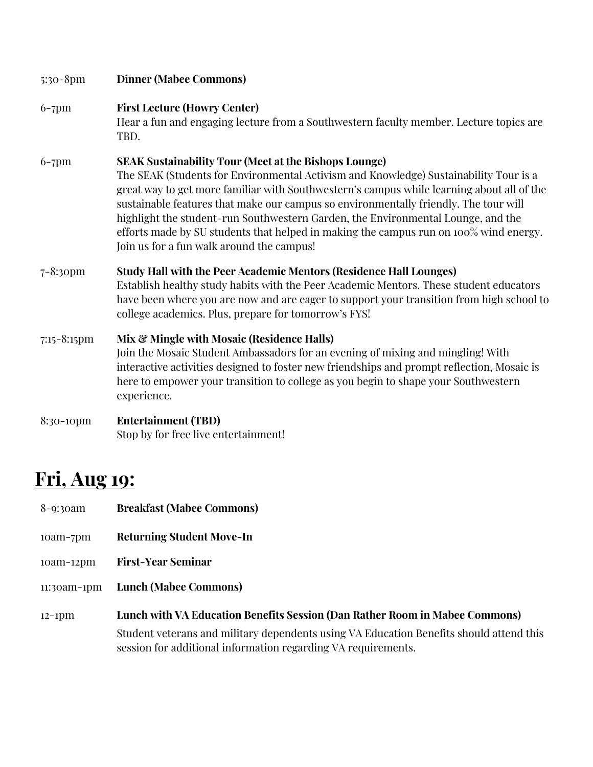| $5:30-8$ pm      | <b>Dinner (Mabee Commons)</b>                                                                                                                                                                                                                                                                                                                                                                                                                                                                                                                                        |
|------------------|----------------------------------------------------------------------------------------------------------------------------------------------------------------------------------------------------------------------------------------------------------------------------------------------------------------------------------------------------------------------------------------------------------------------------------------------------------------------------------------------------------------------------------------------------------------------|
| $6-7$ pm         | <b>First Lecture (Howry Center)</b><br>Hear a fun and engaging lecture from a Southwestern faculty member. Lecture topics are<br>TBD.                                                                                                                                                                                                                                                                                                                                                                                                                                |
| $6-7$ pm         | <b>SEAK Sustainability Tour (Meet at the Bishops Lounge)</b><br>The SEAK (Students for Environmental Activism and Knowledge) Sustainability Tour is a<br>great way to get more familiar with Southwestern's campus while learning about all of the<br>sustainable features that make our campus so environmentally friendly. The tour will<br>highlight the student-run Southwestern Garden, the Environmental Lounge, and the<br>efforts made by SU students that helped in making the campus run on 100% wind energy.<br>Join us for a fun walk around the campus! |
| 7-8:30pm         | <b>Study Hall with the Peer Academic Mentors (Residence Hall Lounges)</b><br>Establish healthy study habits with the Peer Academic Mentors. These student educators<br>have been where you are now and are eager to support your transition from high school to<br>college academics. Plus, prepare for tomorrow's FYS!                                                                                                                                                                                                                                              |
| $7:15 - 8:15$ pm | Mix & Mingle with Mosaic (Residence Halls)<br>Join the Mosaic Student Ambassadors for an evening of mixing and mingling! With<br>interactive activities designed to foster new friendships and prompt reflection, Mosaic is<br>here to empower your transition to college as you begin to shape your Southwestern<br>experience.                                                                                                                                                                                                                                     |
| 8:30-10pm        | <b>Entertainment (TBD)</b><br>Stop by for free live entertainment!                                                                                                                                                                                                                                                                                                                                                                                                                                                                                                   |

# **Fri, Aug 19:**

- 8-9:30am **Breakfast (Mabee Commons)**
- 10am-7pm **Returning Student Move-In**
- 10am-12pm **First-Year Seminar**
- 11:30am-1pm **Lunch (Mabee Commons)**
- 12-1pm **Lunch with VA Education Benefits Session (Dan Rather Room in Mabee Commons)** Student veterans and military dependents using VA Education Benefits should attend this session for additional information regarding VA requirements.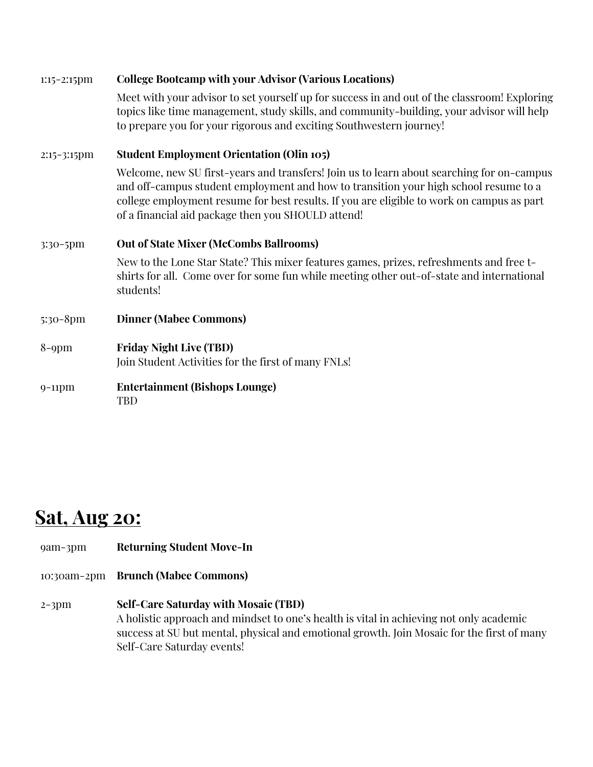| $1:15-2:15$ pm | <b>College Bootcamp with your Advisor (Various Locations)</b>                                                                                                                                                                                                                                                                        |
|----------------|--------------------------------------------------------------------------------------------------------------------------------------------------------------------------------------------------------------------------------------------------------------------------------------------------------------------------------------|
|                | Meet with your advisor to set yourself up for success in and out of the classroom! Exploring<br>topics like time management, study skills, and community-building, your advisor will help<br>to prepare you for your rigorous and exciting Southwestern journey!                                                                     |
| $2:15-3:15$ pm | <b>Student Employment Orientation (Olin 105)</b>                                                                                                                                                                                                                                                                                     |
|                | Welcome, new SU first-years and transfers! Join us to learn about searching for on-campus<br>and off-campus student employment and how to transition your high school resume to a<br>college employment resume for best results. If you are eligible to work on campus as part<br>of a financial aid package then you SHOULD attend! |
| 3:30-5pm       | <b>Out of State Mixer (McCombs Ballrooms)</b>                                                                                                                                                                                                                                                                                        |
|                | New to the Lone Star State? This mixer features games, prizes, refreshments and free t-<br>shirts for all. Come over for some fun while meeting other out-of-state and international<br>students!                                                                                                                                    |
| $5:30-8$ pm    | <b>Dinner (Mabee Commons)</b>                                                                                                                                                                                                                                                                                                        |
| $8$ -9pm       | <b>Friday Night Live (TBD)</b><br>Join Student Activities for the first of many FNLs!                                                                                                                                                                                                                                                |
| $9-11$ pm      | <b>Entertainment (Bishops Lounge)</b><br><b>TBD</b>                                                                                                                                                                                                                                                                                  |

### **Sat, Aug 20:**

#### 9am-3pm **Returning Student Move-In**

- 10:30am-2pm **Brunch (Mabee Commons)**
- 2-3pm **Self-Care Saturday with Mosaic (TBD)** A holistic approach and mindset to one's health is vital in achieving not only academic success at SU but mental, physical and emotional growth. Join Mosaic for the first of many Self-Care Saturday events!